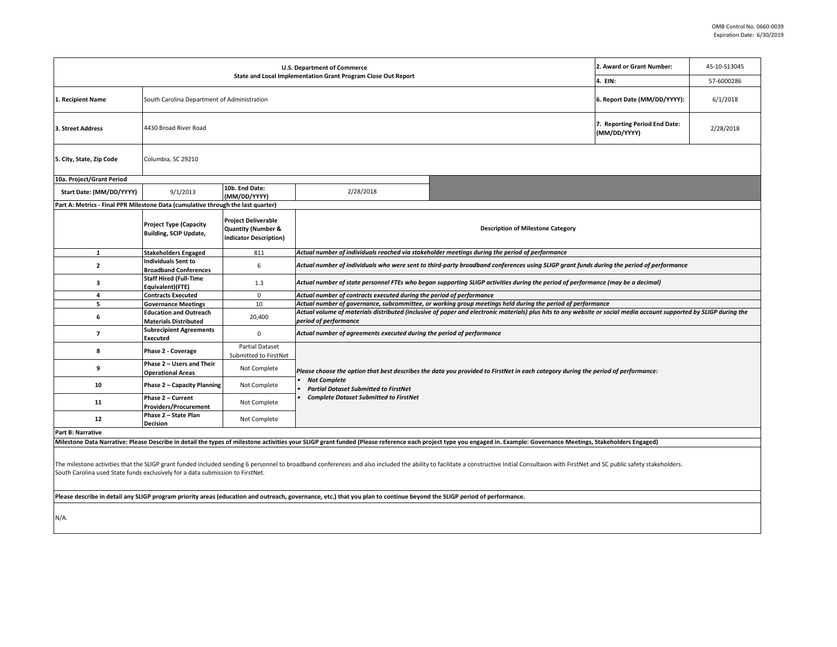| U.S. Department of Commerce                                                                                                                                                                                                    |                                                                                                                                                                                                                                                                         |                                                                                                                                               |                                                                                                                                                                                                                                                           | 2. Award or Grant Number:                                                                                                                                                                                             | 45-10-S13045 |  |
|--------------------------------------------------------------------------------------------------------------------------------------------------------------------------------------------------------------------------------|-------------------------------------------------------------------------------------------------------------------------------------------------------------------------------------------------------------------------------------------------------------------------|-----------------------------------------------------------------------------------------------------------------------------------------------|-----------------------------------------------------------------------------------------------------------------------------------------------------------------------------------------------------------------------------------------------------------|-----------------------------------------------------------------------------------------------------------------------------------------------------------------------------------------------------------------------|--------------|--|
| State and Local Implementation Grant Program Close Out Report                                                                                                                                                                  |                                                                                                                                                                                                                                                                         |                                                                                                                                               |                                                                                                                                                                                                                                                           | 4. EIN:                                                                                                                                                                                                               | 57-6000286   |  |
| South Carolina Department of Administration<br>1. Recipient Name                                                                                                                                                               |                                                                                                                                                                                                                                                                         |                                                                                                                                               |                                                                                                                                                                                                                                                           | 6. Report Date (MM/DD/YYYY):                                                                                                                                                                                          | 6/1/2018     |  |
| 4430 Broad River Road<br>3. Street Address                                                                                                                                                                                     |                                                                                                                                                                                                                                                                         |                                                                                                                                               | 7. Reporting Period End Date:<br>(MM/DD/YYYY)                                                                                                                                                                                                             | 2/28/2018                                                                                                                                                                                                             |              |  |
| 5. City, State, Zip Code                                                                                                                                                                                                       | Columbia, SC 29210                                                                                                                                                                                                                                                      |                                                                                                                                               |                                                                                                                                                                                                                                                           |                                                                                                                                                                                                                       |              |  |
| 10a. Project/Grant Period                                                                                                                                                                                                      |                                                                                                                                                                                                                                                                         |                                                                                                                                               |                                                                                                                                                                                                                                                           |                                                                                                                                                                                                                       |              |  |
| Start Date: (MM/DD/YYYY)                                                                                                                                                                                                       | 9/1/2013                                                                                                                                                                                                                                                                | 10b. End Date:<br>(MM/DD/YYYY)                                                                                                                | 2/28/2018                                                                                                                                                                                                                                                 |                                                                                                                                                                                                                       |              |  |
| Part A: Metrics - Final PPR Milestone Data (cumulative through the last quarter)                                                                                                                                               |                                                                                                                                                                                                                                                                         |                                                                                                                                               |                                                                                                                                                                                                                                                           |                                                                                                                                                                                                                       |              |  |
|                                                                                                                                                                                                                                | <b>Project Type (Capacity</b><br><b>Building, SCIP Update,</b>                                                                                                                                                                                                          | <b>Project Deliverable</b><br><b>Quantity (Number &amp;</b><br><b>Indicator Description)</b>                                                  |                                                                                                                                                                                                                                                           | <b>Description of Milestone Category</b>                                                                                                                                                                              |              |  |
| $\mathbf{1}$                                                                                                                                                                                                                   | <b>Stakeholders Engaged</b>                                                                                                                                                                                                                                             | 811                                                                                                                                           |                                                                                                                                                                                                                                                           | Actual number of individuals reached via stakeholder meetings during the period of performance                                                                                                                        |              |  |
| $\mathbf{2}$                                                                                                                                                                                                                   | <b>Individuals Sent to</b><br><b>Broadband Conferences</b>                                                                                                                                                                                                              | 6<br>Actual number of individuals who were sent to third-party broadband conferences using SLIGP grant funds during the period of performance |                                                                                                                                                                                                                                                           |                                                                                                                                                                                                                       |              |  |
| 3                                                                                                                                                                                                                              | <b>Staff Hired (Full-Time</b><br>Equivalent)(FTE)                                                                                                                                                                                                                       | 1.3<br>Actual number of state personnel FTEs who began supporting SLIGP activities during the period of performance (may be a decimal)        |                                                                                                                                                                                                                                                           |                                                                                                                                                                                                                       |              |  |
| 4                                                                                                                                                                                                                              | Actual number of contracts executed during the period of performance<br><b>Contracts Executed</b><br>0                                                                                                                                                                  |                                                                                                                                               |                                                                                                                                                                                                                                                           |                                                                                                                                                                                                                       |              |  |
| 5                                                                                                                                                                                                                              | Actual number of governance, subcommittee, or working group meetings held during the period of performance<br>10<br><b>Governance Meetings</b>                                                                                                                          |                                                                                                                                               |                                                                                                                                                                                                                                                           |                                                                                                                                                                                                                       |              |  |
| 6                                                                                                                                                                                                                              | Actual volume of materials distributed (inclusive of paper and electronic materials) plus hits to any website or social media account supported by SLIGP during the<br><b>Education and Outreach</b><br>20,400<br>period of performance<br><b>Materials Distributed</b> |                                                                                                                                               |                                                                                                                                                                                                                                                           |                                                                                                                                                                                                                       |              |  |
| 7                                                                                                                                                                                                                              | <b>Subrecipient Agreements</b><br><b>Executed</b>                                                                                                                                                                                                                       | 0                                                                                                                                             | Actual number of agreements executed during the period of performance                                                                                                                                                                                     |                                                                                                                                                                                                                       |              |  |
| 8                                                                                                                                                                                                                              | Phase 2 - Coverage                                                                                                                                                                                                                                                      | <b>Partial Dataset</b><br>Submitted to FirstNet                                                                                               |                                                                                                                                                                                                                                                           |                                                                                                                                                                                                                       |              |  |
| 9                                                                                                                                                                                                                              | Phase 2 - Users and Their<br><b>Operational Areas</b>                                                                                                                                                                                                                   | Not Complete                                                                                                                                  | Please choose the option that best describes the data you provided to FirstNet in each category during the period of performance:<br><b>Not Complete</b><br><b>Partial Dataset Submitted to FirstNet</b><br><b>Complete Dataset Submitted to FirstNet</b> |                                                                                                                                                                                                                       |              |  |
| 10                                                                                                                                                                                                                             | Phase 2 - Capacity Planning                                                                                                                                                                                                                                             | Not Complete                                                                                                                                  |                                                                                                                                                                                                                                                           |                                                                                                                                                                                                                       |              |  |
| 11                                                                                                                                                                                                                             | Phase 2 - Current<br><b>Providers/Procurement</b>                                                                                                                                                                                                                       | Not Complete                                                                                                                                  |                                                                                                                                                                                                                                                           |                                                                                                                                                                                                                       |              |  |
| 12                                                                                                                                                                                                                             | Phase 2 - State Plan<br><b>Decision</b>                                                                                                                                                                                                                                 | Not Complete                                                                                                                                  |                                                                                                                                                                                                                                                           |                                                                                                                                                                                                                       |              |  |
| <b>Part B: Narrative</b>                                                                                                                                                                                                       |                                                                                                                                                                                                                                                                         |                                                                                                                                               |                                                                                                                                                                                                                                                           |                                                                                                                                                                                                                       |              |  |
|                                                                                                                                                                                                                                |                                                                                                                                                                                                                                                                         |                                                                                                                                               |                                                                                                                                                                                                                                                           | Milestone Data Narrative: Please Describe in detail the types of milestone activities your SLIGP grant funded (Please reference each project type you engaged in. Example: Governance Meetings, Stakeholders Engaged) |              |  |
| The milestone activities that the SLIGP grant funded included sending 6 personnel to broadband conferences and also included the ability to facilitate a constructive Initial Consultaion with FirstNet and SC public safety s |                                                                                                                                                                                                                                                                         |                                                                                                                                               |                                                                                                                                                                                                                                                           |                                                                                                                                                                                                                       |              |  |

South Carolina used State funds exclusively for a data submission to FirstNet.

**Please describe in detail any SLIGP program priority areas (education and outreach, governance, etc.) that you plan to continue beyond the SLIGP period of performance.**

N/A.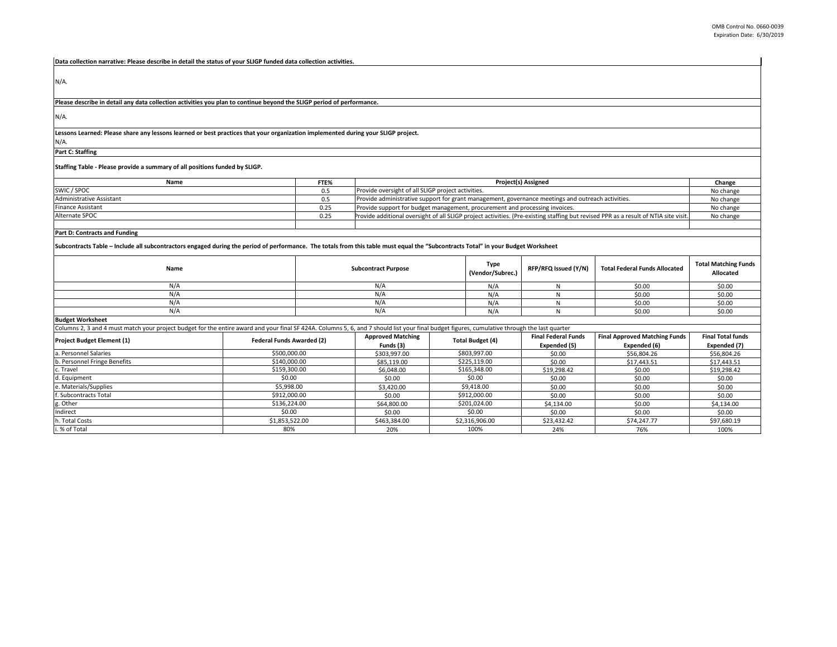**Data collection narrative: Please describe in detail the status of your SLIGP funded data collection activities.** 

N/A.

**Please describe in detail any data collection activities you plan to continue beyond the SLIGP period of performance.**

N/A.

**Lessons Learned: Please share any lessons learned or best practices that your organization implemented during your SLIGP project.** 

N/A.

**Part C: Staffing**

**Staffing Table - Please provide a summary of all positions funded by SLIGP.**

| Name                     | FTE% | <b>Project(s) Assigned</b>                                                                                                           | Change    |
|--------------------------|------|--------------------------------------------------------------------------------------------------------------------------------------|-----------|
| SWIC / SPOC              |      | Provide oversight of all SLIGP project activities.                                                                                   | No change |
| Administrative Assistant |      | Provide administrative support for grant management, governance meetings and outreach activities.                                    | No change |
| <b>Finance Assistant</b> | 0.25 | Provide support for budget management, procurement and processing invoices.                                                          | No change |
| Alternate SPOC           | 0.25 | Provide additional oversight of all SLIGP project activities. (Pre-existing staffing but revised PPR as a result of NTIA site visit. | No change |
|                          |      |                                                                                                                                      |           |

**Part D: Contracts and Funding**

**Subcontracts Table – Include all subcontractors engaged during the period of performance. The totals from this table must equal the "Subcontracts Total" in your Budget Worksheet**

| Name                    | <b>Subcontract Purpose</b> | Type<br>(Vendor/Subrec.) | RFP/RFQ Issued (Y/N) | <b>Total Federal Funds Allocated</b> | <b>Total Matching Funds</b><br>Allocated |
|-------------------------|----------------------------|--------------------------|----------------------|--------------------------------------|------------------------------------------|
| N/A                     | N/A                        | N/A                      |                      | \$0.00                               | \$0.00                                   |
| N/A                     | N/A                        | N/A                      |                      | \$0.00                               | \$0.00                                   |
| N/A                     | N/A                        | N/A                      |                      | \$0.00                               | \$0.00                                   |
| N/A                     | N/A                        | N/A                      |                      | \$0.00                               | \$0.00                                   |
| <b>Budget Worksheet</b> |                            |                          |                      |                                      |                                          |

| Columns 2, 3 and 4 must match your project budget for the entire award and your final SF 424A. Columns 5, 6, and 7 should list your final budget figures, cumulative through the last quarter |                           |                                                                                   |                                      |                          |              |              |
|-----------------------------------------------------------------------------------------------------------------------------------------------------------------------------------------------|---------------------------|-----------------------------------------------------------------------------------|--------------------------------------|--------------------------|--------------|--------------|
| <b>Project Budget Element (1)</b>                                                                                                                                                             | Federal Funds Awarded (2) | <b>Approved Matching</b><br><b>Final Federal Funds</b><br><b>Total Budget (4)</b> | <b>Final Approved Matching Funds</b> | <b>Final Total funds</b> |              |              |
|                                                                                                                                                                                               |                           | Funds (3)                                                                         |                                      | Expended (5)             | Expended (6) | Expended (7) |
| a. Personnel Salaries                                                                                                                                                                         | \$500,000.00              | \$303,997.00                                                                      | \$803,997.00                         | \$0.00                   | \$56,804.26  | \$56,804.26  |
| b. Personnel Fringe Benefits                                                                                                                                                                  | \$140,000.00              | \$85.119.00                                                                       | \$225.119.00                         | \$0.00                   | \$17,443.51  | \$17.443.51  |
| c. Travel                                                                                                                                                                                     | \$159,300.00              | \$6,048,00                                                                        | \$165,348.00                         | \$19,298.42              | \$0.00       | \$19,298.42  |
| d. Equipment                                                                                                                                                                                  | \$0.00                    | \$0.00                                                                            | \$0.00                               | \$0.00                   | \$0.00       | \$0.00       |
| e. Materials/Supplies                                                                                                                                                                         | \$5,998.00                | \$3,420.00                                                                        | \$9,418.00                           | \$0.00                   | \$0.00       | \$0.00       |
| f. Subcontracts Total                                                                                                                                                                         | \$912,000.00              | \$0.00                                                                            | \$912,000.00                         | \$0.00                   | \$0.00       | \$0.00       |
| g. Other                                                                                                                                                                                      | \$136,224.00              | \$64,800.00                                                                       | \$201.024.00                         | \$4.134.00               | \$0.00       | \$4,134.00   |
| Indirect                                                                                                                                                                                      | \$0.00                    | \$0.00                                                                            | \$0.00                               | \$0.00                   | \$0.00       | \$0.00       |
| h. Total Costs                                                                                                                                                                                | \$1,853,522.00            | \$463,384.00                                                                      | \$2,316,906.00                       | \$23,432.42              | \$74,247.77  | \$97,680.19  |
| i. % of Total                                                                                                                                                                                 | 80%                       | 20%                                                                               | 100%                                 | 24%                      | 76%          | 100%         |